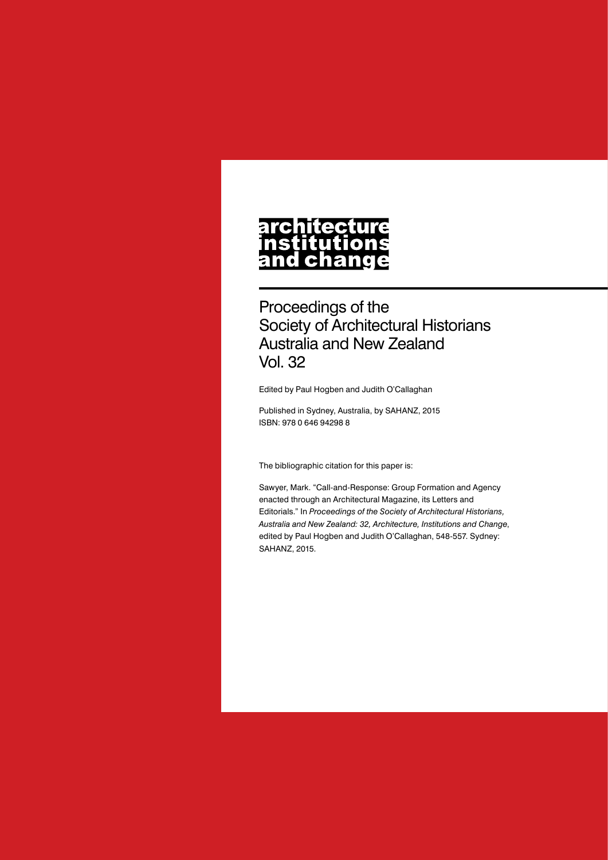#### **architecture** nstitutions **Ch** nd a

Proceedings of the Society of Architectural Historians Australia and New Zealand Vol. 32

Edited by Paul Hogben and Judith O'Callaghan

Published in Sydney, Australia, by SAHANZ, 2015 ISBN: 978 0 646 94298 8

The bibliographic citation for this paper is:

Sawyer, Mark. "Call-and-Response: Group Formation and Agency enacted through an Architectural Magazine, its Letters and Editorials." In *Proceedings of the Society of Architectural Historians, Australia and New Zealand: 32, Architecture, Institutions and Change*, edited by Paul Hogben and Judith O'Callaghan, 548-557. Sydney: SAHANZ, 2015.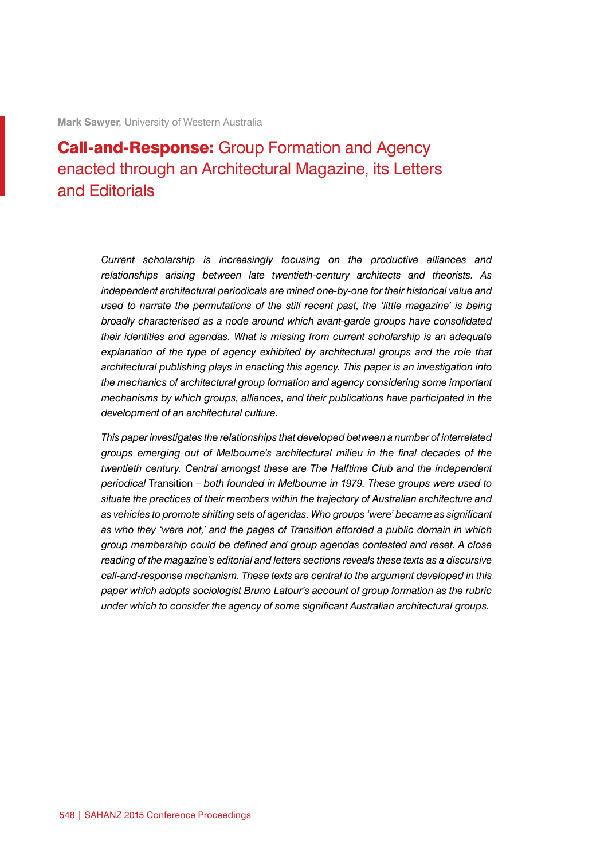# **Call-and-Response:** Group Formation and Agency enacted through an Architectural Magazine, its Letters and Editorials

*Current scholarship is increasingly focusing on the productive alliances and relationships arising between late twentieth-century architects and theorists. As independent architectural periodicals are mined one-by-one for their historical value and used to narrate the permutations of the still recent past, the 'little magazine' is being broadly characterised as a node around which avant-garde groups have consolidated their identities and agendas. What is missing from current scholarship is an adequate*  explanation of the type of agency exhibited by architectural groups and the role that *architectural publishing plays in enacting this agency. This paper is an investigation into the mechanics of architectural group formation and agency considering some important mechanisms by which groups, alliances, and their publications have participated in the development of an architectural culture.*

*This paper investigates the relationships that developed between a number of interrelated groups emerging out of Melbourne's architectural milieu in the final decades of the twentieth century. Central amongst these are The Halftime Club and the independent periodical* Transition *– both founded in Melbourne in 1979. These groups were used to situate the practices of their members within the trajectory of Australian architecture and as vehicles to promote shifting sets of agendas. Who groups 'were' became as significant as who they 'were not,' and the pages of Transition afforded a public domain in which group membership could be defined and group agendas contested and reset. A close reading of the magazine's editorial and letters sections reveals these texts as a discursive call-and-response mechanism. These texts are central to the argument developed in this paper which adopts sociologist Bruno Latour's account of group formation as the rubric under which to consider the agency of some significant Australian architectural groups.*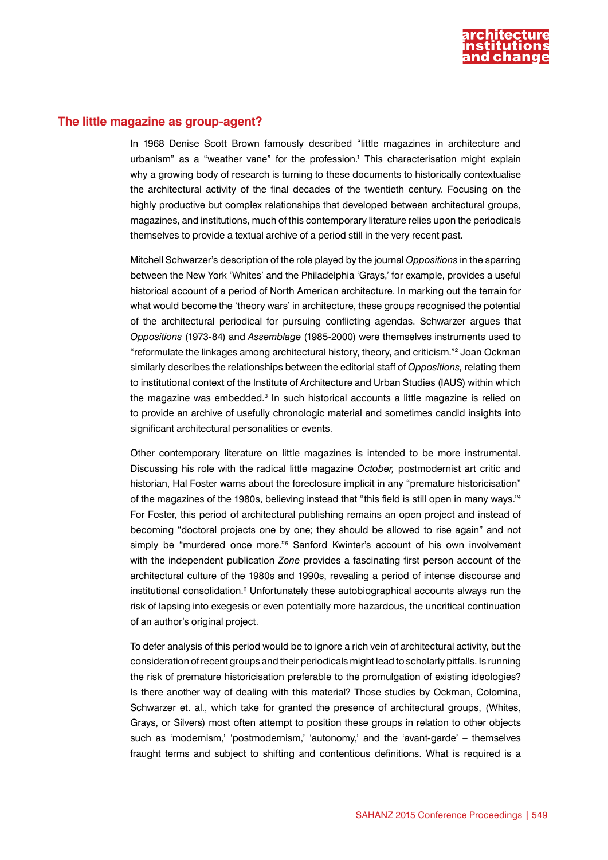

## **The little magazine as group-agent?**

In 1968 Denise Scott Brown famously described "little magazines in architecture and urbanism" as a "weather vane" for the profession.<sup>1</sup> This characterisation might explain why a growing body of research is turning to these documents to historically contextualise the architectural activity of the final decades of the twentieth century. Focusing on the highly productive but complex relationships that developed between architectural groups, magazines, and institutions, much of this contemporary literature relies upon the periodicals themselves to provide a textual archive of a period still in the very recent past.

Mitchell Schwarzer's description of the role played by the journal *Oppositions* in the sparring between the New York 'Whites' and the Philadelphia 'Grays,' for example, provides a useful historical account of a period of North American architecture. In marking out the terrain for what would become the 'theory wars' in architecture, these groups recognised the potential of the architectural periodical for pursuing conflicting agendas. Schwarzer argues that *Oppositions* (1973-84) and *Assemblage* (1985-2000) were themselves instruments used to "reformulate the linkages among architectural history, theory, and criticism."2 Joan Ockman similarly describes the relationships between the editorial staff of *Oppositions,* relating them to institutional context of the Institute of Architecture and Urban Studies (IAUS) within which the magazine was embedded.<sup>3</sup> In such historical accounts a little magazine is relied on to provide an archive of usefully chronologic material and sometimes candid insights into significant architectural personalities or events.

Other contemporary literature on little magazines is intended to be more instrumental. Discussing his role with the radical little magazine *October,* postmodernist art critic and historian, Hal Foster warns about the foreclosure implicit in any "premature historicisation" of the magazines of the 1980s, believing instead that "this field is still open in many ways."4 For Foster, this period of architectural publishing remains an open project and instead of becoming "doctoral projects one by one; they should be allowed to rise again" and not simply be "murdered once more."<sup>5</sup> Sanford Kwinter's account of his own involvement with the independent publication *Zone* provides a fascinating first person account of the architectural culture of the 1980s and 1990s, revealing a period of intense discourse and institutional consolidation.<sup>6</sup> Unfortunately these autobiographical accounts always run the risk of lapsing into exegesis or even potentially more hazardous, the uncritical continuation of an author's original project.

To defer analysis of this period would be to ignore a rich vein of architectural activity, but the consideration of recent groups and their periodicals might lead to scholarly pitfalls. Is running the risk of premature historicisation preferable to the promulgation of existing ideologies? Is there another way of dealing with this material? Those studies by Ockman, Colomina, Schwarzer et. al., which take for granted the presence of architectural groups, (Whites, Grays, or Silvers) most often attempt to position these groups in relation to other objects such as 'modernism,' 'postmodernism,' 'autonomy,' and the 'avant-garde' – themselves fraught terms and subject to shifting and contentious definitions. What is required is a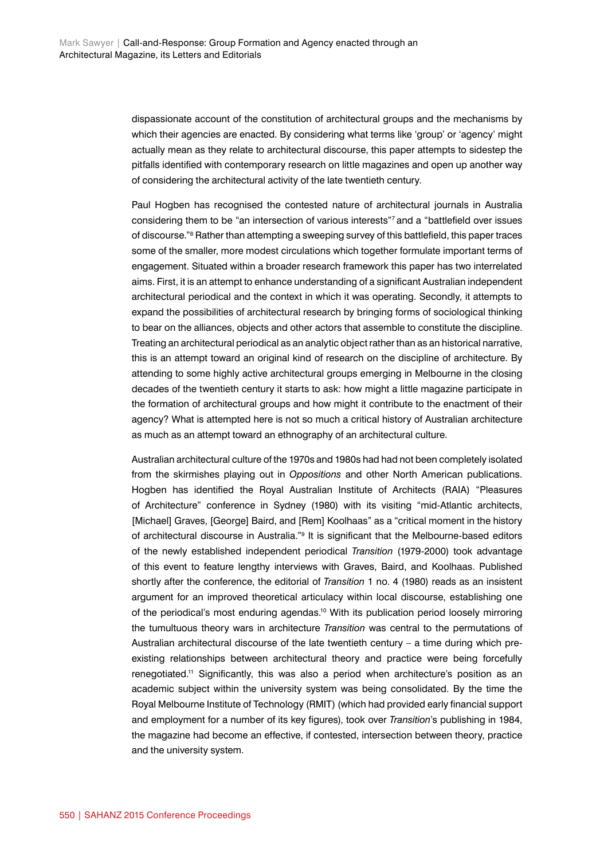dispassionate account of the constitution of architectural groups and the mechanisms by which their agencies are enacted. By considering what terms like 'group' or 'agency' might actually mean as they relate to architectural discourse, this paper attempts to sidestep the pitfalls identified with contemporary research on little magazines and open up another way of considering the architectural activity of the late twentieth century.

Paul Hogben has recognised the contested nature of architectural journals in Australia considering them to be "an intersection of various interests"7 and a "battlefield over issues of discourse."<sup>8</sup> Rather than attempting a sweeping survey of this battlefield, this paper traces some of the smaller, more modest circulations which together formulate important terms of engagement. Situated within a broader research framework this paper has two interrelated aims. First, it is an attempt to enhance understanding of a significant Australian independent architectural periodical and the context in which it was operating. Secondly, it attempts to expand the possibilities of architectural research by bringing forms of sociological thinking to bear on the alliances, objects and other actors that assemble to constitute the discipline. Treating an architectural periodical as an analytic object rather than as an historical narrative, this is an attempt toward an original kind of research on the discipline of architecture. By attending to some highly active architectural groups emerging in Melbourne in the closing decades of the twentieth century it starts to ask: how might a little magazine participate in the formation of architectural groups and how might it contribute to the enactment of their agency? What is attempted here is not so much a critical history of Australian architecture as much as an attempt toward an ethnography of an architectural culture.

Australian architectural culture of the 1970s and 1980s had had not been completely isolated from the skirmishes playing out in *Oppositions* and other North American publications. Hogben has identified the Royal Australian Institute of Architects (RAIA) "Pleasures of Architecture" conference in Sydney (1980) with its visiting "mid-Atlantic architects, [Michael] Graves, [George] Baird, and [Rem] Koolhaas" as a "critical moment in the history of architectural discourse in Australia."<sup>9</sup> It is significant that the Melbourne-based editors of the newly established independent periodical *Transition* (1979-2000) took advantage of this event to feature lengthy interviews with Graves, Baird, and Koolhaas. Published shortly after the conference, the editorial of *Transition* 1 no. 4 (1980) reads as an insistent argument for an improved theoretical articulacy within local discourse, establishing one of the periodical's most enduring agendas.<sup>10</sup> With its publication period loosely mirroring the tumultuous theory wars in architecture *Transition* was central to the permutations of Australian architectural discourse of the late twentieth century – a time during which preexisting relationships between architectural theory and practice were being forcefully renegotiated.11 Significantly, this was also a period when architecture's position as an academic subject within the university system was being consolidated. By the time the Royal Melbourne Institute of Technology (RMIT) (which had provided early financial support and employment for a number of its key figures), took over *Transition*'s publishing in 1984, the magazine had become an effective, if contested, intersection between theory, practice and the university system.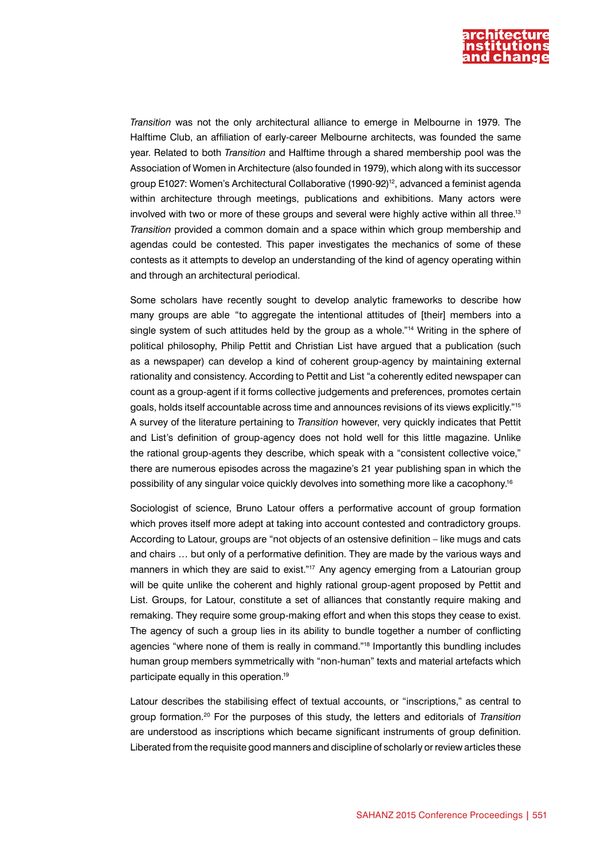

*Transition* was not the only architectural alliance to emerge in Melbourne in 1979. The Halftime Club, an affiliation of early-career Melbourne architects, was founded the same year. Related to both *Transition* and Halftime through a shared membership pool was the Association of Women in Architecture (also founded in 1979), which along with its successor group E1027: Women's Architectural Collaborative (1990-92)<sup>12</sup>, advanced a feminist agenda within architecture through meetings, publications and exhibitions. Many actors were involved with two or more of these groups and several were highly active within all three.<sup>13</sup> *Transition* provided a common domain and a space within which group membership and agendas could be contested. This paper investigates the mechanics of some of these contests as it attempts to develop an understanding of the kind of agency operating within and through an architectural periodical.

Some scholars have recently sought to develop analytic frameworks to describe how many groups are able "to aggregate the intentional attitudes of [their] members into a single system of such attitudes held by the group as a whole."<sup>14</sup> Writing in the sphere of political philosophy, Philip Pettit and Christian List have argued that a publication (such as a newspaper) can develop a kind of coherent group-agency by maintaining external rationality and consistency. According to Pettit and List "a coherently edited newspaper can count as a group-agent if it forms collective judgements and preferences, promotes certain goals, holds itself accountable across time and announces revisions of its views explicitly."15 A survey of the literature pertaining to *Transition* however, very quickly indicates that Pettit and List's definition of group-agency does not hold well for this little magazine. Unlike the rational group-agents they describe, which speak with a "consistent collective voice," there are numerous episodes across the magazine's 21 year publishing span in which the possibility of any singular voice quickly devolves into something more like a cacophony.16

Sociologist of science, Bruno Latour offers a performative account of group formation which proves itself more adept at taking into account contested and contradictory groups. According to Latour, groups are "not objects of an ostensive definition – like mugs and cats and chairs … but only of a performative definition. They are made by the various ways and manners in which they are said to exist."<sup>17</sup> Any agency emerging from a Latourian group will be quite unlike the coherent and highly rational group-agent proposed by Pettit and List. Groups, for Latour, constitute a set of alliances that constantly require making and remaking. They require some group-making effort and when this stops they cease to exist. The agency of such a group lies in its ability to bundle together a number of conflicting agencies "where none of them is really in command."18 Importantly this bundling includes human group members symmetrically with "non-human" texts and material artefacts which participate equally in this operation.19

Latour describes the stabilising effect of textual accounts, or "inscriptions," as central to group formation.20 For the purposes of this study, the letters and editorials of *Transition* are understood as inscriptions which became significant instruments of group definition. Liberated from the requisite good manners and discipline of scholarly or review articles these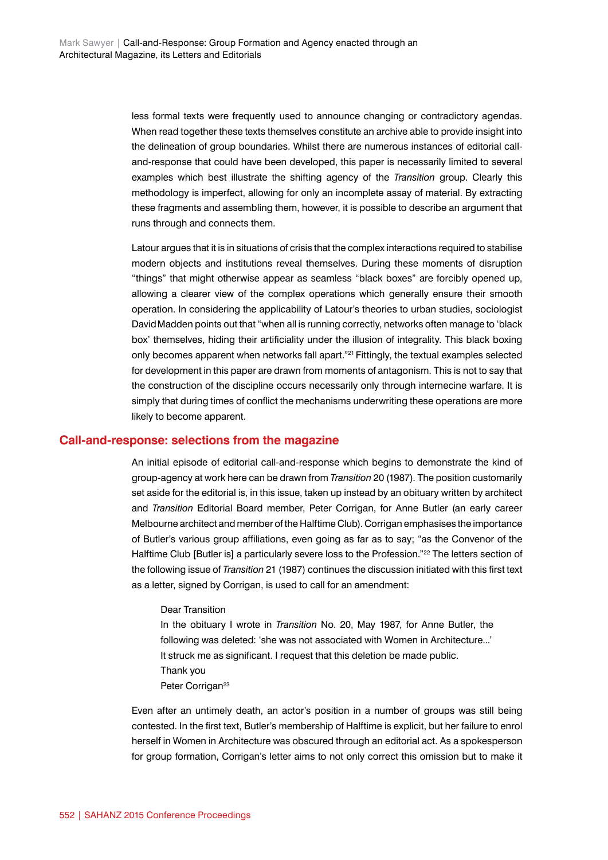less formal texts were frequently used to announce changing or contradictory agendas. When read together these texts themselves constitute an archive able to provide insight into the delineation of group boundaries. Whilst there are numerous instances of editorial calland-response that could have been developed, this paper is necessarily limited to several examples which best illustrate the shifting agency of the *Transition* group. Clearly this methodology is imperfect, allowing for only an incomplete assay of material. By extracting these fragments and assembling them, however, it is possible to describe an argument that runs through and connects them.

Latour argues that it is in situations of crisis that the complex interactions required to stabilise modern objects and institutions reveal themselves. During these moments of disruption "things" that might otherwise appear as seamless "black boxes" are forcibly opened up, allowing a clearer view of the complex operations which generally ensure their smooth operation. In considering the applicability of Latour's theories to urban studies, sociologist DavidMadden points out that "when all is running correctly, networks often manage to 'black box' themselves, hiding their artificiality under the illusion of integrality. This black boxing only becomes apparent when networks fall apart."21 Fittingly, the textual examples selected for development in this paper are drawn from moments of antagonism. This is not to say that the construction of the discipline occurs necessarily only through internecine warfare. It is simply that during times of conflict the mechanisms underwriting these operations are more likely to become apparent.

### **Call-and-response: selections from the magazine**

An initial episode of editorial call-and-response which begins to demonstrate the kind of group-agency at work here can be drawn from *Transition* 20 (1987). The position customarily set aside for the editorial is, in this issue, taken up instead by an obituary written by architect and *Transition* Editorial Board member, Peter Corrigan, for Anne Butler (an early career Melbourne architect and member of the Halftime Club). Corrigan emphasises the importance of Butler's various group affiliations, even going as far as to say; "as the Convenor of the Halftime Club [Butler is] a particularly severe loss to the Profession."<sup>22</sup> The letters section of the following issue of *Transition* 21 (1987) continues the discussion initiated with this first text as a letter, signed by Corrigan, is used to call for an amendment:

#### Dear Transition

In the obituary I wrote in *Transition* No. 20, May 1987, for Anne Butler, the following was deleted: 'she was not associated with Women in Architecture...' It struck me as significant. I request that this deletion be made public. Thank you Peter Corrigan<sup>23</sup>

Even after an untimely death, an actor's position in a number of groups was still being contested. In the first text, Butler's membership of Halftime is explicit, but her failure to enrol herself in Women in Architecture was obscured through an editorial act. As a spokesperson for group formation, Corrigan's letter aims to not only correct this omission but to make it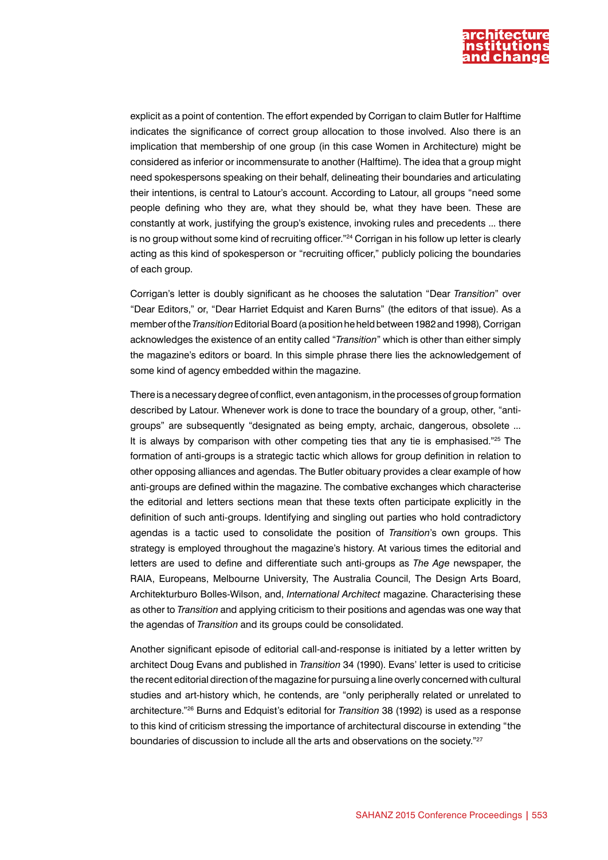

explicit as a point of contention. The effort expended by Corrigan to claim Butler for Halftime indicates the significance of correct group allocation to those involved. Also there is an implication that membership of one group (in this case Women in Architecture) might be considered as inferior or incommensurate to another (Halftime). The idea that a group might need spokespersons speaking on their behalf, delineating their boundaries and articulating their intentions, is central to Latour's account. According to Latour, all groups "need some people defining who they are, what they should be, what they have been. These are constantly at work, justifying the group's existence, invoking rules and precedents ... there is no group without some kind of recruiting officer."<sup>24</sup> Corrigan in his follow up letter is clearly acting as this kind of spokesperson or "recruiting officer," publicly policing the boundaries of each group.

Corrigan's letter is doubly significant as he chooses the salutation "Dear *Transition*" over "Dear Editors," or, "Dear Harriet Edquist and Karen Burns" (the editors of that issue). As a member of the *Transition* Editorial Board (a position he held between 1982 and 1998)*,* Corrigan acknowledges the existence of an entity called "*Transition*" which is other than either simply the magazine's editors or board. In this simple phrase there lies the acknowledgement of some kind of agency embedded within the magazine.

There is a necessary degree of conflict, even antagonism, in the processes of group formation described by Latour. Whenever work is done to trace the boundary of a group, other, "antigroups" are subsequently "designated as being empty, archaic, dangerous, obsolete ... It is always by comparison with other competing ties that any tie is emphasised."25 The formation of anti-groups is a strategic tactic which allows for group definition in relation to other opposing alliances and agendas. The Butler obituary provides a clear example of how anti-groups are defined within the magazine. The combative exchanges which characterise the editorial and letters sections mean that these texts often participate explicitly in the definition of such anti-groups. Identifying and singling out parties who hold contradictory agendas is a tactic used to consolidate the position of *Transition*'s own groups. This strategy is employed throughout the magazine's history. At various times the editorial and letters are used to define and differentiate such anti-groups as *The Age* newspaper, the RAIA, Europeans, Melbourne University, The Australia Council, The Design Arts Board, Architekturburo Bolles-Wilson, and, *International Architect* magazine. Characterising these as other to *Transition* and applying criticism to their positions and agendas was one way that the agendas of *Transition* and its groups could be consolidated.

Another significant episode of editorial call-and-response is initiated by a letter written by architect Doug Evans and published in *Transition* 34 (1990). Evans' letter is used to criticise the recent editorial direction of the magazine for pursuing a line overly concerned with cultural studies and art-history which, he contends, are "only peripherally related or unrelated to architecture."26 Burns and Edquist's editorial for *Transition* 38 (1992) is used as a response to this kind of criticism stressing the importance of architectural discourse in extending "the boundaries of discussion to include all the arts and observations on the society."<sup>27</sup>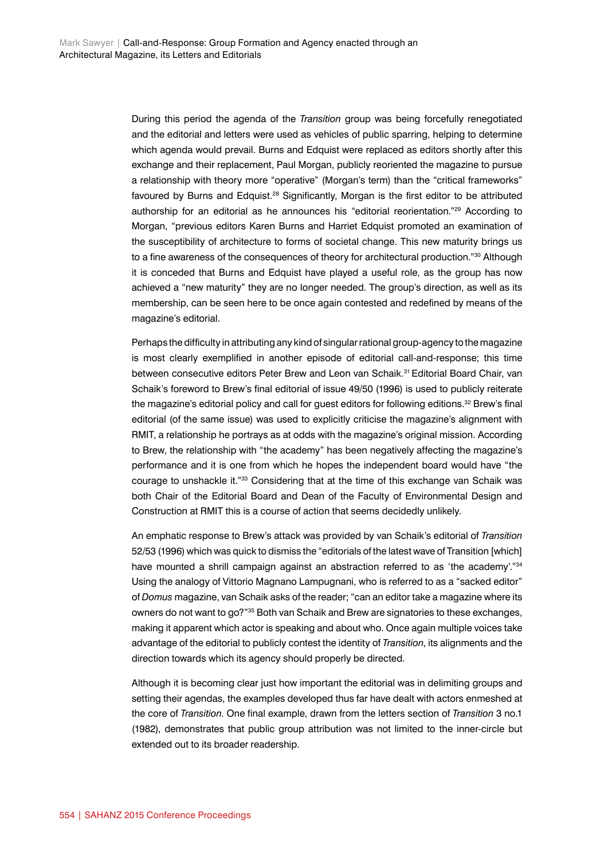During this period the agenda of the *Transition* group was being forcefully renegotiated and the editorial and letters were used as vehicles of public sparring, helping to determine which agenda would prevail. Burns and Edquist were replaced as editors shortly after this exchange and their replacement, Paul Morgan, publicly reoriented the magazine to pursue a relationship with theory more "operative" (Morgan's term) than the "critical frameworks" favoured by Burns and Edquist.<sup>28</sup> Significantly, Morgan is the first editor to be attributed authorship for an editorial as he announces his "editorial reorientation."29 According to Morgan, "previous editors Karen Burns and Harriet Edquist promoted an examination of the susceptibility of architecture to forms of societal change. This new maturity brings us to a fine awareness of the consequences of theory for architectural production."<sup>30</sup> Although it is conceded that Burns and Edquist have played a useful role, as the group has now achieved a "new maturity" they are no longer needed. The group's direction, as well as its membership, can be seen here to be once again contested and redefined by means of the magazine's editorial.

Perhaps the difficulty in attributing any kind of singular rational group-agency to the magazine is most clearly exemplified in another episode of editorial call-and-response; this time between consecutive editors Peter Brew and Leon van Schaik.31 Editorial Board Chair, van Schaik's foreword to Brew's final editorial of issue 49/50 (1996) is used to publicly reiterate the magazine's editorial policy and call for quest editors for following editions.<sup>32</sup> Brew's final editorial (of the same issue) was used to explicitly criticise the magazine's alignment with RMIT, a relationship he portrays as at odds with the magazine's original mission. According to Brew, the relationship with "the academy" has been negatively affecting the magazine's performance and it is one from which he hopes the independent board would have "the courage to unshackle it."<sup>33</sup> Considering that at the time of this exchange van Schaik was both Chair of the Editorial Board and Dean of the Faculty of Environmental Design and Construction at RMIT this is a course of action that seems decidedly unlikely.

An emphatic response to Brew's attack was provided by van Schaik's editorial of *Transition* 52/53 (1996) which was quick to dismiss the "editorials of the latest wave of Transition [which] have mounted a shrill campaign against an abstraction referred to as 'the academy'."<sup>34</sup> Using the analogy of Vittorio Magnano Lampugnani, who is referred to as a "sacked editor" of *Domus* magazine, van Schaik asks of the reader; "can an editor take a magazine where its owners do not want to go?"35 Both van Schaik and Brew are signatories to these exchanges, making it apparent which actor is speaking and about who. Once again multiple voices take advantage of the editorial to publicly contest the identity of *Transition*, its alignments and the direction towards which its agency should properly be directed.

Although it is becoming clear just how important the editorial was in delimiting groups and setting their agendas, the examples developed thus far have dealt with actors enmeshed at the core of *Transition*. One final example, drawn from the letters section of *Transition* 3 no.1 (1982), demonstrates that public group attribution was not limited to the inner-circle but extended out to its broader readership.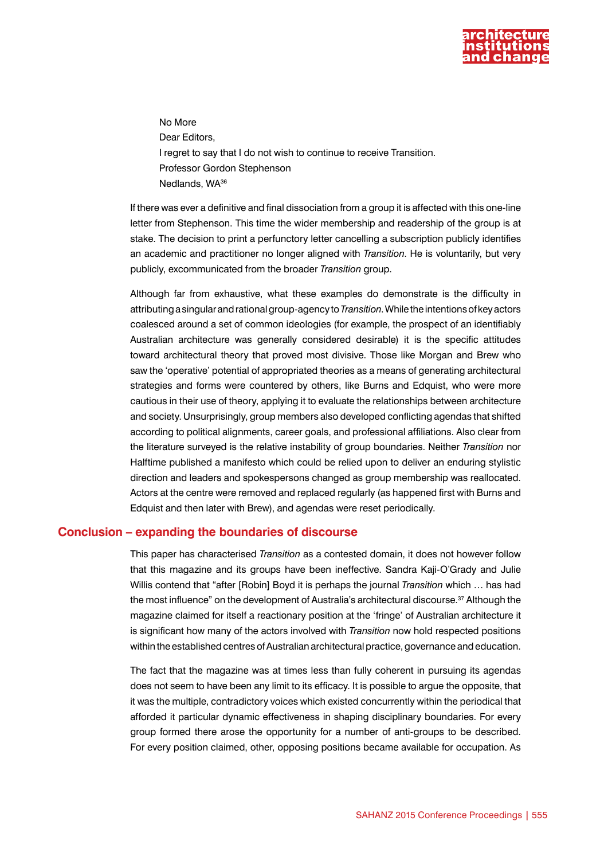

No More Dear Editors, I regret to say that I do not wish to continue to receive Transition. Professor Gordon Stephenson Nedlands, WA36

If there was ever a definitive and final dissociation from a group it is affected with this one-line letter from Stephenson. This time the wider membership and readership of the group is at stake. The decision to print a perfunctory letter cancelling a subscription publicly identifies an academic and practitioner no longer aligned with *Transition*. He is voluntarily, but very publicly, excommunicated from the broader *Transition* group.

Although far from exhaustive, what these examples do demonstrate is the difficulty in attributing a singular and rational group-agency to *Transition*. While the intentions of key actors coalesced around a set of common ideologies (for example, the prospect of an identifiably Australian architecture was generally considered desirable) it is the specific attitudes toward architectural theory that proved most divisive. Those like Morgan and Brew who saw the 'operative' potential of appropriated theories as a means of generating architectural strategies and forms were countered by others, like Burns and Edquist, who were more cautious in their use of theory, applying it to evaluate the relationships between architecture and society. Unsurprisingly, group members also developed conflicting agendas that shifted according to political alignments, career goals, and professional affiliations. Also clear from the literature surveyed is the relative instability of group boundaries. Neither *Transition* nor Halftime published a manifesto which could be relied upon to deliver an enduring stylistic direction and leaders and spokespersons changed as group membership was reallocated. Actors at the centre were removed and replaced regularly (as happened first with Burns and Edquist and then later with Brew), and agendas were reset periodically.

### **Conclusion – expanding the boundaries of discourse**

This paper has characterised *Transition* as a contested domain, it does not however follow that this magazine and its groups have been ineffective. Sandra Kaji-O'Grady and Julie Willis contend that "after [Robin] Boyd it is perhaps the journal *Transition* which … has had the most influence" on the development of Australia's architectural discourse.<sup>37</sup> Although the magazine claimed for itself a reactionary position at the 'fringe' of Australian architecture it is significant how many of the actors involved with *Transition* now hold respected positions within the established centres of Australian architectural practice, governance and education.

The fact that the magazine was at times less than fully coherent in pursuing its agendas does not seem to have been any limit to its efficacy. It is possible to argue the opposite, that it was the multiple, contradictory voices which existed concurrently within the periodical that afforded it particular dynamic effectiveness in shaping disciplinary boundaries. For every group formed there arose the opportunity for a number of anti-groups to be described. For every position claimed, other, opposing positions became available for occupation. As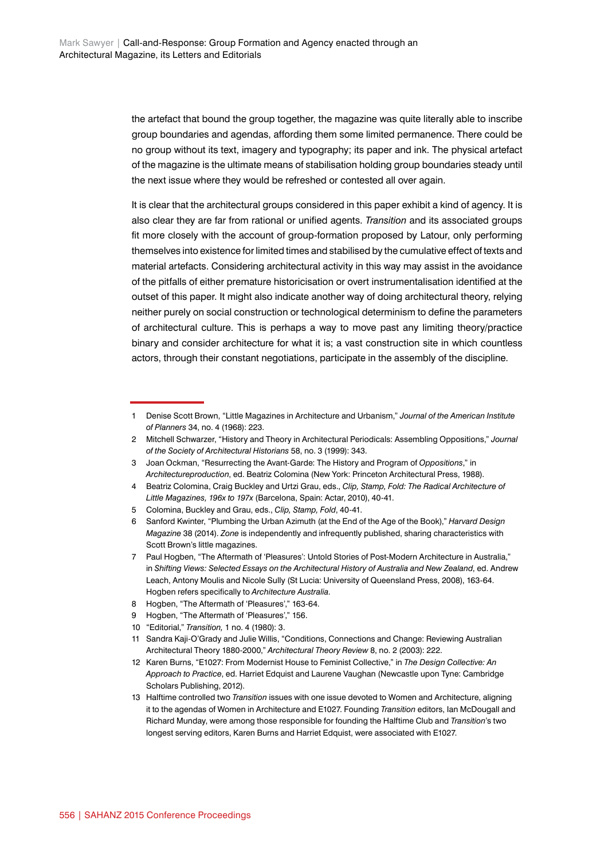the artefact that bound the group together, the magazine was quite literally able to inscribe group boundaries and agendas, affording them some limited permanence. There could be no group without its text, imagery and typography; its paper and ink. The physical artefact of the magazine is the ultimate means of stabilisation holding group boundaries steady until the next issue where they would be refreshed or contested all over again.

It is clear that the architectural groups considered in this paper exhibit a kind of agency. It is also clear they are far from rational or unified agents. *Transition* and its associated groups fit more closely with the account of group-formation proposed by Latour, only performing themselves into existence for limited times and stabilised by the cumulative effect of texts and material artefacts. Considering architectural activity in this way may assist in the avoidance of the pitfalls of either premature historicisation or overt instrumentalisation identified at the outset of this paper. It might also indicate another way of doing architectural theory, relying neither purely on social construction or technological determinism to define the parameters of architectural culture. This is perhaps a way to move past any limiting theory/practice binary and consider architecture for what it is; a vast construction site in which countless actors, through their constant negotiations, participate in the assembly of the discipline.

8 Hogben, "The Aftermath of 'Pleasures'," 163-64.

<sup>1</sup> Denise Scott Brown, "Little Magazines in Architecture and Urbanism," *Journal of the American Institute of Planners* 34, no. 4 (1968): 223.

<sup>2</sup> Mitchell Schwarzer, "History and Theory in Architectural Periodicals: Assembling Oppositions," *Journal of the Society of Architectural Historians* 58, no. 3 (1999): 343.

<sup>3</sup> Joan Ockman, "Resurrecting the Avant-Garde: The History and Program of *Oppositions*," in *Architectureproduction*, ed. Beatriz Colomina (New York: Princeton Architectural Press, 1988).

<sup>4</sup> Beatriz Colomina, Craig Buckley and Urtzi Grau, eds., *Clip, Stamp, Fold: The Radical Architecture of Little Magazines, 196x to 197x* (Barcelona, Spain: Actar, 2010), 40-41.

<sup>5</sup> Colomina, Buckley and Grau, eds., *Clip, Stamp, Fold*, 40-41.

<sup>6</sup> Sanford Kwinter, "Plumbing the Urban Azimuth (at the End of the Age of the Book)," *Harvard Design Magazine* 38 (2014). *Zone* is independently and infrequently published, sharing characteristics with Scott Brown's little magazines.

<sup>7</sup> Paul Hogben, "The Aftermath of 'Pleasures': Untold Stories of Post-Modern Architecture in Australia," in *Shifting Views: Selected Essays on the Architectural History of Australia and New Zealand*, ed. Andrew Leach, Antony Moulis and Nicole Sully (St Lucia: University of Queensland Press, 2008), 163-64. Hogben refers specifically to *Architecture Australia.*

<sup>9</sup> Hogben, "The Aftermath of 'Pleasures'," 156.

<sup>10</sup> "Editorial," *Transition,* 1 no. 4 (1980): 3.

<sup>11</sup> Sandra Kaji-O'Grady and Julie Willis, "Conditions, Connections and Change: Reviewing Australian Architectural Theory 1880-2000," *Architectural Theory Review* 8, no. 2 (2003): 222.

<sup>12</sup> Karen Burns, "E1027: From Modernist House to Feminist Collective," in *The Design Collective: An Approach to Practice*, ed. Harriet Edquist and Laurene Vaughan (Newcastle upon Tyne: Cambridge Scholars Publishing, 2012).

<sup>13</sup> Halftime controlled two *Transition* issues with one issue devoted to Women and Architecture, aligning it to the agendas of Women in Architecture and E1027. Founding *Transition* editors, Ian McDougall and Richard Munday, were among those responsible for founding the Halftime Club and *Transition*'s two longest serving editors, Karen Burns and Harriet Edquist, were associated with E1027.